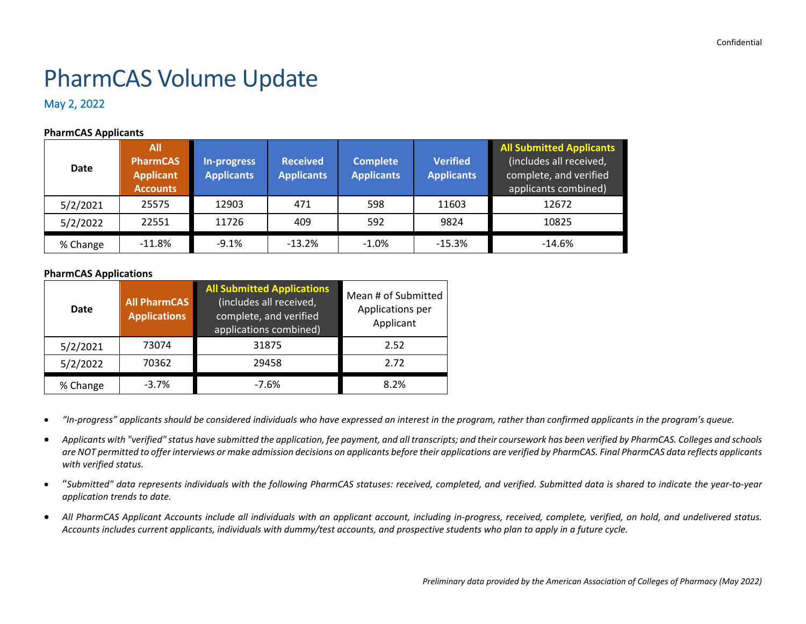# PharmCAS Volume Update

## May 2, 2022

## **PharmCAS Applicants**

| <b>Date</b> | All<br><b>PharmCAS</b><br><b>Applicant</b><br><b>Accounts</b> | In-progress<br><b>Applicants</b> | <b>Received</b><br><b>Applicants</b> | <b>Complete</b><br><b>Applicants</b> | <b>Verified</b><br><b>Applicants</b> | <b>All Submitted Applicants</b><br>(includes all received,<br>complete, and verified<br>applicants combined) |
|-------------|---------------------------------------------------------------|----------------------------------|--------------------------------------|--------------------------------------|--------------------------------------|--------------------------------------------------------------------------------------------------------------|
| 5/2/2021    | 25575                                                         | 12903                            | 471                                  | 598                                  | 11603                                | 12672                                                                                                        |
| 5/2/2022    | 22551                                                         | 11726                            | 409                                  | 592                                  | 9824                                 | 10825                                                                                                        |
| % Change    | $-11.8\%$                                                     | $-9.1%$                          | $-13.2%$                             | $-1.0%$                              | $-15.3%$                             | $-14.6\%$                                                                                                    |

#### **PharmCAS Applications**

| Date     | <b>All PharmCAS</b><br><b>Applications</b> | <b>All Submitted Applications</b><br>(includes all received,<br>complete, and verified<br>applications combined) | Mean # of Submitted<br>Applications per<br>Applicant |
|----------|--------------------------------------------|------------------------------------------------------------------------------------------------------------------|------------------------------------------------------|
| 5/2/2021 | 73074                                      | 31875                                                                                                            | 2.52                                                 |
| 5/2/2022 | 70362                                      | 29458                                                                                                            | 2.72                                                 |
| % Change | $-3.7%$                                    | $-7.6%$                                                                                                          | 8.2%                                                 |

• *"In-progress" applicants should be considered individuals who have expressed an interest in the program, rather than confirmed applicants in the program's queue.*

- *Applicants with "verified" status have submitted the application, fee payment, and all transcripts; and their coursework has been verified by PharmCAS. Colleges and schools are NOT permitted to offer interviews or make admission decisions on applicants before their applications are verified by PharmCAS. Final PharmCAS data reflects applicants with verified status.*
- "*Submitted" data represents individuals with the following PharmCAS statuses: received, completed, and verified. Submitted data is shared to indicate the year-to-year application trends to date.*
- *All PharmCAS Applicant Accounts include all individuals with an applicant account, including in-progress, received, complete, verified, on hold, and undelivered status. Accounts includes current applicants, individuals with dummy/test accounts, and prospective students who plan to apply in a future cycle.*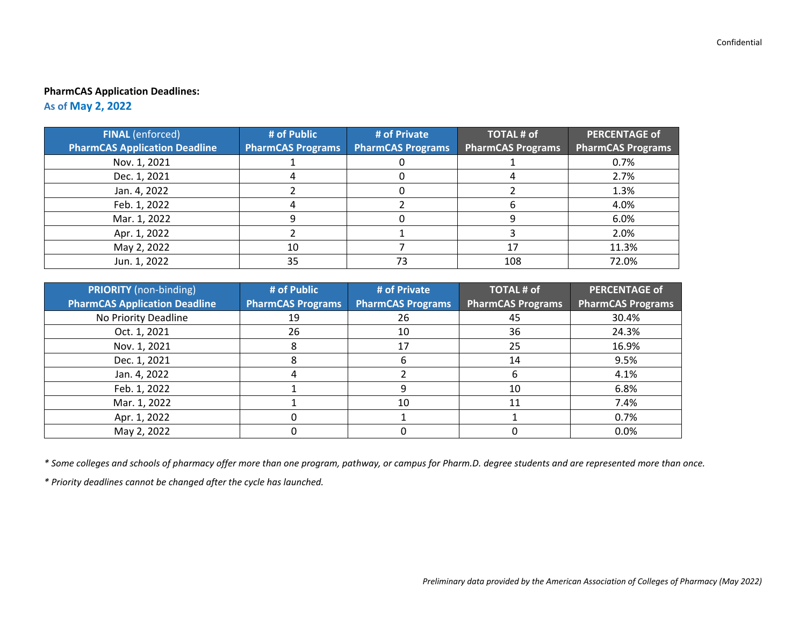## **PharmCAS Application Deadlines:**

**As of May 2, 2022**

| <b>FINAL</b> (enforced)              | # of Public              | # of Private             | <b>TOTAL # of</b>        | <b>PERCENTAGE of</b>     |
|--------------------------------------|--------------------------|--------------------------|--------------------------|--------------------------|
| <b>PharmCAS Application Deadline</b> | <b>PharmCAS Programs</b> | <b>PharmCAS Programs</b> | <b>PharmCAS Programs</b> | <b>PharmCAS Programs</b> |
| Nov. 1, 2021                         |                          |                          |                          | 0.7%                     |
| Dec. 1, 2021                         |                          |                          |                          | 2.7%                     |
| Jan. 4, 2022                         |                          |                          |                          | 1.3%                     |
| Feb. 1, 2022                         |                          |                          |                          | 4.0%                     |
| Mar. 1, 2022                         |                          |                          |                          | 6.0%                     |
| Apr. 1, 2022                         |                          |                          |                          | 2.0%                     |
| May 2, 2022                          | 10                       |                          |                          | 11.3%                    |
| Jun. 1, 2022                         | 35                       | 73                       | 108                      | 72.0%                    |

| <b>PRIORITY</b> (non-binding)        | # of Public              | # of Private             | <b>TOTAL # of</b> | <b>PERCENTAGE of</b>     |
|--------------------------------------|--------------------------|--------------------------|-------------------|--------------------------|
| <b>PharmCAS Application Deadline</b> | <b>PharmCAS Programs</b> | <b>PharmCAS Programs</b> | PharmCAS Programs | <b>PharmCAS Programs</b> |
| No Priority Deadline                 | 19                       | 26                       | 45                | 30.4%                    |
| Oct. 1, 2021                         | 26                       | 10                       | 36                | 24.3%                    |
| Nov. 1, 2021                         |                          | 17                       | 25                | 16.9%                    |
| Dec. 1, 2021                         |                          | n                        | 14                | 9.5%                     |
| Jan. 4, 2022                         |                          |                          |                   | 4.1%                     |
| Feb. 1, 2022                         |                          | 9                        | 10                | 6.8%                     |
| Mar. 1, 2022                         |                          | 10                       | 11                | 7.4%                     |
| Apr. 1, 2022                         |                          |                          |                   | 0.7%                     |
| May 2, 2022                          |                          |                          |                   | 0.0%                     |

*\* Some colleges and schools of pharmacy offer more than one program, pathway, or campus for Pharm.D. degree students and are represented more than once.* 

*\* Priority deadlines cannot be changed after the cycle has launched.*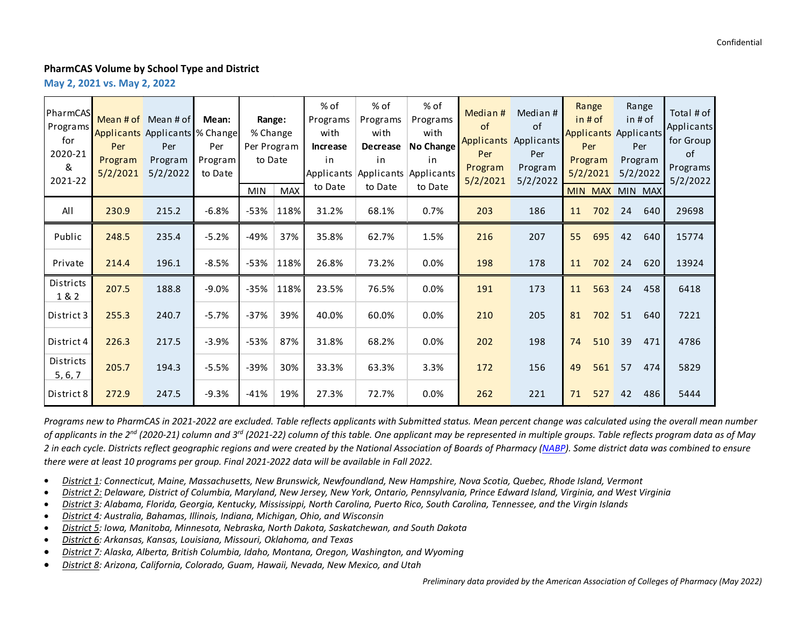#### **PharmCAS Volume by School Type and District**

**May 2, 2021 vs. May 2, 2022**

| PharmCAS<br>Programs<br>for<br>2020-21<br>&<br>2021-22 | Per<br>Program<br>5/2/2021 | Mean $#$ of Mean $#$ of<br>Applicants Applicants % Change<br>Per<br>Program<br>5/2/2022 | Mean:<br>Per<br>Program<br>to Date | Range:<br>% Change<br>Per Program<br>to Date<br><b>MIN</b> | <b>MAX</b> | $%$ of<br>Programs<br>with<br><b>Increase</b><br>in<br>Applicants<br>to Date | % of<br>Programs<br>with<br><b>Decrease</b><br>in<br>to Date | % of<br>Programs<br>with<br><b>No Change</b><br>in<br>Applicants Applicants<br>to Date | Median#<br><sub>of</sub><br><b>Applicants</b><br>Per<br>Program<br>5/2/2021 | Median #<br><b>of</b><br>Applicants<br>Per<br>Program<br>5/2/2022 | Range<br>in#of<br><b>Applicants Applicants</b><br>Per<br>Program<br>5/2/2021<br>MIN MAX MIN MAX |    | Range<br>in#of<br>Per<br>Program<br>5/2/2022 | Total # of<br>Applicants<br>for Group<br><sub>of</sub><br>Programs<br>5/2/2022 |
|--------------------------------------------------------|----------------------------|-----------------------------------------------------------------------------------------|------------------------------------|------------------------------------------------------------|------------|------------------------------------------------------------------------------|--------------------------------------------------------------|----------------------------------------------------------------------------------------|-----------------------------------------------------------------------------|-------------------------------------------------------------------|-------------------------------------------------------------------------------------------------|----|----------------------------------------------|--------------------------------------------------------------------------------|
| All                                                    | 230.9                      | 215.2                                                                                   | $-6.8%$                            | -53%                                                       | 118%       | 31.2%                                                                        | 68.1%                                                        | 0.7%                                                                                   | 203                                                                         | 186                                                               | 11<br>702                                                                                       | 24 | 640                                          | 29698                                                                          |
| Public                                                 | 248.5                      | 235.4                                                                                   | $-5.2%$                            | $-49%$                                                     | 37%        | 35.8%                                                                        | 62.7%                                                        | 1.5%                                                                                   | 216                                                                         | 207                                                               | 55<br>695                                                                                       | 42 | 640                                          | 15774                                                                          |
| Private                                                | 214.4                      | 196.1                                                                                   | $-8.5%$                            | $-53%$                                                     | 118%       | 26.8%                                                                        | 73.2%                                                        | 0.0%                                                                                   | 198                                                                         | 178                                                               | 702<br>11                                                                                       | 24 | 620                                          | 13924                                                                          |
| Districts<br>1 & 2                                     | 207.5                      | 188.8                                                                                   | $-9.0%$                            | $-35%$                                                     | 118%       | 23.5%                                                                        | 76.5%                                                        | 0.0%                                                                                   | 191                                                                         | 173                                                               | 11<br>563                                                                                       | 24 | 458                                          | 6418                                                                           |
| District 3                                             | 255.3                      | 240.7                                                                                   | $-5.7%$                            | $-37%$                                                     | 39%        | 40.0%                                                                        | 60.0%                                                        | 0.0%                                                                                   | 210                                                                         | 205                                                               | 81<br>702                                                                                       | 51 | 640                                          | 7221                                                                           |
| District 4                                             | 226.3                      | 217.5                                                                                   | $-3.9%$                            | $-53%$                                                     | 87%        | 31.8%                                                                        | 68.2%                                                        | 0.0%                                                                                   | 202                                                                         | 198                                                               | 74<br>510                                                                                       | 39 | 471                                          | 4786                                                                           |
| Districts<br>5, 6, 7                                   | 205.7                      | 194.3                                                                                   | $-5.5%$                            | $-39%$                                                     | 30%        | 33.3%                                                                        | 63.3%                                                        | 3.3%                                                                                   | 172                                                                         | 156                                                               | 49<br>561                                                                                       | 57 | 474                                          | 5829                                                                           |
| District 8                                             | 272.9                      | 247.5                                                                                   | $-9.3%$                            | $-41%$                                                     | 19%        | 27.3%                                                                        | 72.7%                                                        | 0.0%                                                                                   | 262                                                                         | 221                                                               | 71<br>527                                                                                       | 42 | 486                                          | 5444                                                                           |

*Programs new to PharmCAS in 2021-2022 are excluded. Table reflects applicants with Submitted status. Mean percent change was calculated using the overall mean number of applicants in the 2nd (2020-21) column and 3rd (2021-22) column of this table. One applicant may be represented in multiple groups. Table reflects program data as of May 2 in each cycle. Districts reflect geographic regions and were created by the National Association of Boards of Pharmacy [\(NABP\)](https://nabp.pharmacy/meetings-categories/district-meetings/). Some district data was combined to ensure there were at least 10 programs per group. Final 2021-2022 data will be available in Fall 2022.* 

- *District 1: Connecticut, Maine, Massachusetts, New Brunswick, Newfoundland, New Hampshire, Nova Scotia, Quebec, Rhode Island, Vermont*
- *District 2: Delaware, District of Columbia, Maryland, New Jersey, New York, Ontario, Pennsylvania, Prince Edward Island, Virginia, and West Virginia*
- *District 3: Alabama, Florida, Georgia, Kentucky, Mississippi, North Carolina, Puerto Rico, South Carolina, Tennessee, and the Virgin Islands*
- *District 4: Australia, Bahamas, Illinois, Indiana, Michigan, Ohio, and Wisconsin*
- *District 5: Iowa, Manitoba, Minnesota, Nebraska, North Dakota, Saskatchewan, and South Dakota*
- *District 6: Arkansas, Kansas, Louisiana, Missouri, Oklahoma, and Texas*
- *District 7: Alaska, Alberta, British Columbia, Idaho, Montana, Oregon, Washington, and Wyoming*
- *District 8: Arizona, California, Colorado, Guam, Hawaii, Nevada, New Mexico, and Utah*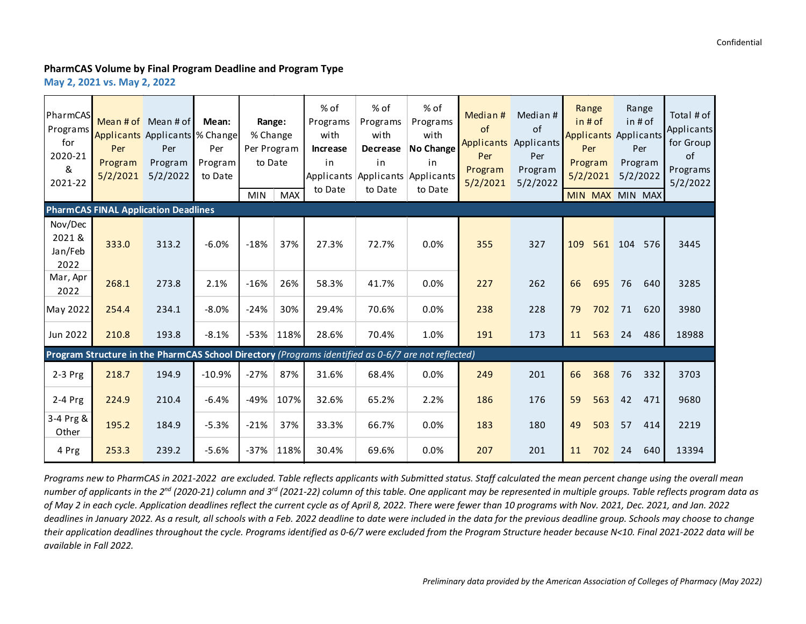## **PharmCAS Volume by Final Program Deadline and Program Type**

**May 2, 2021 vs. May 2, 2022**

| PharmCAS<br>Programs<br>for<br>2020-21<br>&<br>2021-22 | Per<br>Program<br>5/2/2021                  | Mean # of $\sqrt{ }$ Mean # of<br>Applicants Applicants % Change<br>Per<br>Program<br>5/2/2022 | Mean:<br>Per<br>Program<br>to Date | Range:<br>% Change<br>Per Program<br>to Date | <b>MAX</b>   | % of<br>Programs<br>with<br><b>Increase</b><br>in<br>Applicants Applicants Applicants<br>to Date    | $%$ of<br>Programs<br>with<br><b>Decrease</b><br>in<br>to Date | $%$ of<br>Programs<br>with<br><b>No Change</b><br>in<br>to Date | Median#<br>of<br>Per<br>Program<br>5/2/2021 | Median #<br>of<br><b>Applicants</b> Applicants<br>Per<br>Program<br>5/2/2022 | Range<br>in # of<br><b>Applicants</b> Applicants<br>Per<br>Program<br>5/2/2021 |     | Range<br>in # of<br>Per<br>Program<br>5/2/2022 | Total # of<br>Applicants<br>for Group<br>of<br>Programs<br>5/2/2022 |
|--------------------------------------------------------|---------------------------------------------|------------------------------------------------------------------------------------------------|------------------------------------|----------------------------------------------|--------------|-----------------------------------------------------------------------------------------------------|----------------------------------------------------------------|-----------------------------------------------------------------|---------------------------------------------|------------------------------------------------------------------------------|--------------------------------------------------------------------------------|-----|------------------------------------------------|---------------------------------------------------------------------|
|                                                        | <b>PharmCAS FINAL Application Deadlines</b> |                                                                                                |                                    | <b>MIN</b>                                   |              |                                                                                                     |                                                                |                                                                 |                                             |                                                                              | MIN MAX MIN MAX                                                                |     |                                                |                                                                     |
| Nov/Dec<br>2021 &<br>Jan/Feb<br>2022                   | 333.0                                       | 313.2                                                                                          | $-6.0%$                            | $-18%$                                       | 37%          | 27.3%                                                                                               | 72.7%                                                          | 0.0%                                                            | 355                                         | 327                                                                          | 109<br>561                                                                     | 104 | 576                                            | 3445                                                                |
| Mar, Apr<br>2022                                       | 268.1                                       | 273.8                                                                                          | 2.1%                               | $-16%$                                       | 26%          | 58.3%                                                                                               | 41.7%                                                          | 0.0%                                                            | 227                                         | 262                                                                          | 66<br>695                                                                      | 76  | 640                                            | 3285                                                                |
| May 2022                                               | 254.4                                       | 234.1                                                                                          | $-8.0%$                            | $-24%$                                       | 30%          | 29.4%                                                                                               | 70.6%                                                          | 0.0%                                                            | 238                                         | 228                                                                          | 702<br>79                                                                      | 71  | 620                                            | 3980                                                                |
| <b>Jun 2022</b>                                        | 210.8                                       | 193.8                                                                                          | $-8.1%$                            |                                              | $-53\%$ 118% | 28.6%                                                                                               | 70.4%                                                          | 1.0%                                                            | 191                                         | 173                                                                          | 11<br>563                                                                      | 24  | 486                                            | 18988                                                               |
|                                                        |                                             |                                                                                                |                                    |                                              |              | Program Structure in the PharmCAS School Directory (Programs identified as 0-6/7 are not reflected) |                                                                |                                                                 |                                             |                                                                              |                                                                                |     |                                                |                                                                     |
| $2-3$ Prg                                              | 218.7                                       | 194.9                                                                                          | $-10.9%$                           | $-27%$                                       | 87%          | 31.6%                                                                                               | 68.4%                                                          | 0.0%                                                            | 249                                         | 201                                                                          | 66<br>368                                                                      | 76  | 332                                            | 3703                                                                |
| $2-4$ Prg                                              | 224.9                                       | 210.4                                                                                          | $-6.4%$                            | -49%                                         | 107%         | 32.6%                                                                                               | 65.2%                                                          | 2.2%                                                            | 186                                         | 176                                                                          | 59<br>563                                                                      | 42  | 471                                            | 9680                                                                |
| 3-4 Prg &<br>Other                                     | 195.2                                       | 184.9                                                                                          | $-5.3%$                            | $-21%$                                       | 37%          | 33.3%                                                                                               | 66.7%                                                          | 0.0%                                                            | 183                                         | 180                                                                          | 49<br>503                                                                      | 57  | 414                                            | 2219                                                                |
| 4 Prg                                                  | 253.3                                       | 239.2                                                                                          | $-5.6%$                            | $-37%$                                       | 118%         | 30.4%                                                                                               | 69.6%                                                          | 0.0%                                                            | 207                                         | 201                                                                          | 11<br>702                                                                      | 24  | 640                                            | 13394                                                               |

*Programs new to PharmCAS in 2021-2022 are excluded. Table reflects applicants with Submitted status. Staff calculated the mean percent change using the overall mean number of applicants in the 2nd (2020-21) column and 3rd (2021-22) column of this table. One applicant may be represented in multiple groups. Table reflects program data as of May 2 in each cycle. Application deadlines reflect the current cycle as of April 8, 2022. There were fewer than 10 programs with Nov. 2021, Dec. 2021, and Jan. 2022 deadlines in January 2022. As a result, all schools with a Feb. 2022 deadline to date were included in the data for the previous deadline group. Schools may choose to change their application deadlines throughout the cycle. Programs identified as 0-6/7 were excluded from the Program Structure header because N<10. Final 2021-2022 data will be available in Fall 2022.*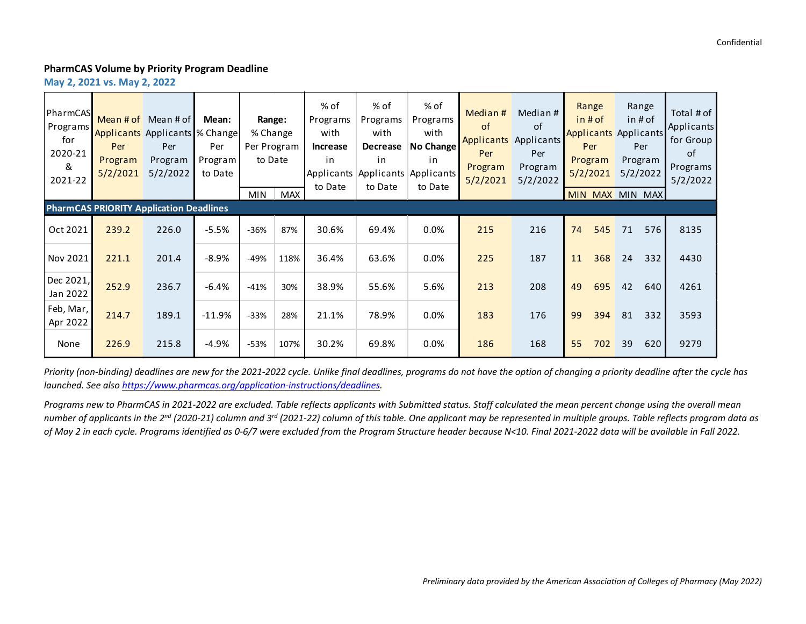#### **PharmCAS Volume by Priority Program Deadline**

**May 2, 2021 vs. May 2, 2022**

| <b>PharmCAS</b><br>Programs<br>for<br>2020-21<br>&<br>2021-22 | Per<br>Program<br>5/2/2021 | Mean # of $\sqrt{ }$ Mean # of<br><b>Applicants Applicants % Change</b><br>Per<br>Program<br>5/2/2022 | Mean:<br>Per<br>Program<br>to Date | % Change<br>Per Program<br>to Date<br><b>MIN</b> | Range:<br>MAX | % of<br>Programs<br>with<br>Increase<br>in.<br>Applicants<br>to Date | % of<br>Programs<br>with<br><b>Decrease</b><br>in<br>to Date | % of<br>Programs<br>with<br>No Change<br>in<br>Applicants Applicants<br>to Date | Median #<br>of<br>Applicants<br>Per<br>Program<br>5/2/2021 | Median #<br><sub>of</sub><br>Applicants<br>Per<br>Program<br>5/2/2022 | Range<br>$in$ # of<br><b>Applicants Applicants</b><br>Per<br>Program<br>5/2/2021 | Range<br>in # of<br>Per<br>Program<br>5/2/2022<br>MIN MAX MIN MAX | Total # of<br>Applicants<br>for Group<br>of<br>Programs<br>5/2/2022 |
|---------------------------------------------------------------|----------------------------|-------------------------------------------------------------------------------------------------------|------------------------------------|--------------------------------------------------|---------------|----------------------------------------------------------------------|--------------------------------------------------------------|---------------------------------------------------------------------------------|------------------------------------------------------------|-----------------------------------------------------------------------|----------------------------------------------------------------------------------|-------------------------------------------------------------------|---------------------------------------------------------------------|
|                                                               |                            | <b>PharmCAS PRIORITY Application Deadlines</b>                                                        |                                    |                                                  |               |                                                                      |                                                              |                                                                                 |                                                            |                                                                       |                                                                                  |                                                                   |                                                                     |
| Oct 2021                                                      | 239.2                      | 226.0                                                                                                 | $-5.5%$                            | $-36%$                                           | 87%           | 30.6%                                                                | 69.4%                                                        | $0.0\%$                                                                         | 215                                                        | 216                                                                   | 74<br>545                                                                        | 71<br>576                                                         | 8135                                                                |
| Nov 2021                                                      | 221.1                      | 201.4                                                                                                 | $-8.9%$                            | $-49%$                                           | 118%          | 36.4%                                                                | 63.6%                                                        | $0.0\%$                                                                         | 225                                                        | 187                                                                   | 11<br>368                                                                        | 332<br>24                                                         | 4430                                                                |
| Dec 2021,<br>Jan 2022                                         | 252.9                      | 236.7                                                                                                 | $-6.4%$                            | $-41%$                                           | 30%           | 38.9%                                                                | 55.6%                                                        | 5.6%                                                                            | 213                                                        | 208                                                                   | 49<br>695                                                                        | 640<br>42                                                         | 4261                                                                |
| Feb, Mar,<br>Apr 2022                                         | 214.7                      | 189.1                                                                                                 | $-11.9%$                           | $-33%$                                           | 28%           | 21.1%                                                                | 78.9%                                                        | 0.0%                                                                            | 183                                                        | 176                                                                   | 99<br>394                                                                        | 332<br>81                                                         | 3593                                                                |
| None                                                          | 226.9                      | 215.8                                                                                                 | $-4.9%$                            | $-53%$                                           | 107%          | 30.2%                                                                | 69.8%                                                        | $0.0\%$                                                                         | 186                                                        | 168                                                                   | 55<br>702                                                                        | 39<br>620                                                         | 9279                                                                |

*Priority (non-binding) deadlines are new for the 2021-2022 cycle. Unlike final deadlines, programs do not have the option of changing a priority deadline after the cycle has launched. See also [https://www.pharmcas.org/application-instructions/deadlines.](https://www.pharmcas.org/application-instructions/deadlines)* 

*Programs new to PharmCAS in 2021-2022 are excluded. Table reflects applicants with Submitted status. Staff calculated the mean percent change using the overall mean number of applicants in the 2nd (2020-21) column and 3rd (2021-22) column of this table. One applicant may be represented in multiple groups. Table reflects program data as of May 2 in each cycle. Programs identified as 0-6/7 were excluded from the Program Structure header because N<10. Final 2021-2022 data will be available in Fall 2022.*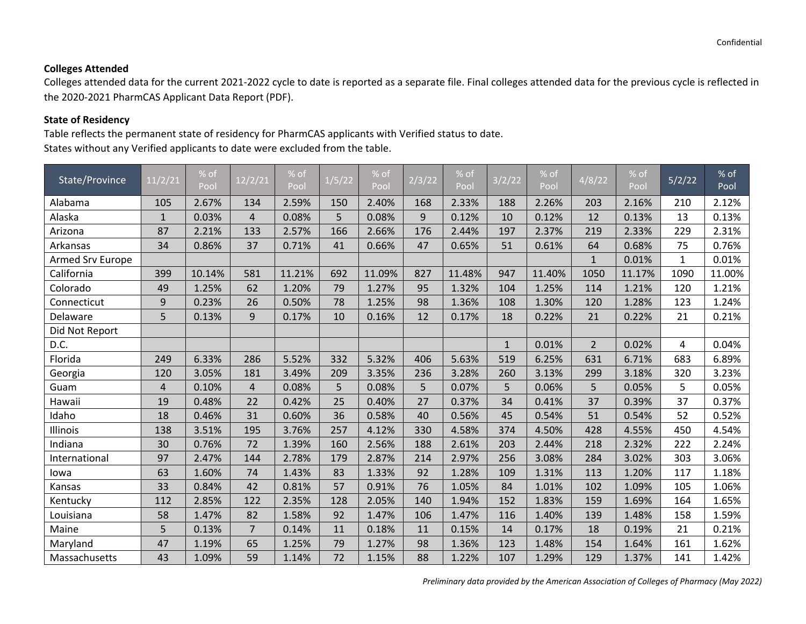## **Colleges Attended**

Colleges attended data for the current 2021-2022 cycle to date is reported as a separate file. Final colleges attended data for the previous cycle is reflected in the 2020-2021 PharmCAS Applicant Data Report (PDF).

## **State of Residency**

Table reflects the permanent state of residency for PharmCAS applicants with Verified status to date. States without any Verified applicants to date were excluded from the table.

| State/Province   | 11/2/21        | % of<br>Pool | 12/2/21        | % of<br>Pool | 1/5/22 | % of<br>Pool | 2/3/22 | % of<br>Pool | 3/2/22       | % of<br>Pool | 4/8/22         | % of<br>Pool | 5/2/22       | % of<br>Pool |
|------------------|----------------|--------------|----------------|--------------|--------|--------------|--------|--------------|--------------|--------------|----------------|--------------|--------------|--------------|
| Alabama          | 105            | 2.67%        | 134            | 2.59%        | 150    | 2.40%        | 168    | 2.33%        | 188          | 2.26%        | 203            | 2.16%        | 210          | 2.12%        |
| Alaska           | $\mathbf{1}$   | 0.03%        | $\overline{4}$ | 0.08%        | 5      | 0.08%        | 9      | 0.12%        | 10           | 0.12%        | 12             | 0.13%        | 13           | 0.13%        |
| Arizona          | 87             | 2.21%        | 133            | 2.57%        | 166    | 2.66%        | 176    | 2.44%        | 197          | 2.37%        | 219            | 2.33%        | 229          | 2.31%        |
| Arkansas         | 34             | 0.86%        | 37             | 0.71%        | 41     | 0.66%        | 47     | 0.65%        | 51           | 0.61%        | 64             | 0.68%        | 75           | 0.76%        |
| Armed Srv Europe |                |              |                |              |        |              |        |              |              |              | $\mathbf{1}$   | 0.01%        | $\mathbf{1}$ | 0.01%        |
| California       | 399            | 10.14%       | 581            | 11.21%       | 692    | 11.09%       | 827    | 11.48%       | 947          | 11.40%       | 1050           | 11.17%       | 1090         | 11.00%       |
| Colorado         | 49             | 1.25%        | 62             | 1.20%        | 79     | 1.27%        | 95     | 1.32%        | 104          | 1.25%        | 114            | 1.21%        | 120          | 1.21%        |
| Connecticut      | 9              | 0.23%        | 26             | 0.50%        | 78     | 1.25%        | 98     | 1.36%        | 108          | 1.30%        | 120            | 1.28%        | 123          | 1.24%        |
| Delaware         | 5              | 0.13%        | 9              | 0.17%        | 10     | 0.16%        | 12     | 0.17%        | 18           | 0.22%        | 21             | 0.22%        | 21           | 0.21%        |
| Did Not Report   |                |              |                |              |        |              |        |              |              |              |                |              |              |              |
| D.C.             |                |              |                |              |        |              |        |              | $\mathbf{1}$ | 0.01%        | $\overline{2}$ | 0.02%        | 4            | 0.04%        |
| Florida          | 249            | 6.33%        | 286            | 5.52%        | 332    | 5.32%        | 406    | 5.63%        | 519          | 6.25%        | 631            | 6.71%        | 683          | 6.89%        |
| Georgia          | 120            | 3.05%        | 181            | 3.49%        | 209    | 3.35%        | 236    | 3.28%        | 260          | 3.13%        | 299            | 3.18%        | 320          | 3.23%        |
| Guam             | $\overline{4}$ | 0.10%        | 4              | 0.08%        | 5      | 0.08%        | 5      | 0.07%        | 5            | 0.06%        | 5              | 0.05%        | 5            | 0.05%        |
| Hawaii           | 19             | 0.48%        | 22             | 0.42%        | 25     | 0.40%        | 27     | 0.37%        | 34           | 0.41%        | 37             | 0.39%        | 37           | 0.37%        |
| Idaho            | 18             | 0.46%        | 31             | 0.60%        | 36     | 0.58%        | 40     | 0.56%        | 45           | 0.54%        | 51             | 0.54%        | 52           | 0.52%        |
| Illinois         | 138            | 3.51%        | 195            | 3.76%        | 257    | 4.12%        | 330    | 4.58%        | 374          | 4.50%        | 428            | 4.55%        | 450          | 4.54%        |
| Indiana          | 30             | 0.76%        | 72             | 1.39%        | 160    | 2.56%        | 188    | 2.61%        | 203          | 2.44%        | 218            | 2.32%        | 222          | 2.24%        |
| International    | 97             | 2.47%        | 144            | 2.78%        | 179    | 2.87%        | 214    | 2.97%        | 256          | 3.08%        | 284            | 3.02%        | 303          | 3.06%        |
| lowa             | 63             | 1.60%        | 74             | 1.43%        | 83     | 1.33%        | 92     | 1.28%        | 109          | 1.31%        | 113            | 1.20%        | 117          | 1.18%        |
| Kansas           | 33             | 0.84%        | 42             | 0.81%        | 57     | 0.91%        | 76     | 1.05%        | 84           | 1.01%        | 102            | 1.09%        | 105          | 1.06%        |
| Kentucky         | 112            | 2.85%        | 122            | 2.35%        | 128    | 2.05%        | 140    | 1.94%        | 152          | 1.83%        | 159            | 1.69%        | 164          | 1.65%        |
| Louisiana        | 58             | 1.47%        | 82             | 1.58%        | 92     | 1.47%        | 106    | 1.47%        | 116          | 1.40%        | 139            | 1.48%        | 158          | 1.59%        |
| Maine            | 5              | 0.13%        | $\overline{7}$ | 0.14%        | 11     | 0.18%        | 11     | 0.15%        | 14           | 0.17%        | 18             | 0.19%        | 21           | 0.21%        |
| Maryland         | 47             | 1.19%        | 65             | 1.25%        | 79     | 1.27%        | 98     | 1.36%        | 123          | 1.48%        | 154            | 1.64%        | 161          | 1.62%        |
| Massachusetts    | 43             | 1.09%        | 59             | 1.14%        | 72     | 1.15%        | 88     | 1.22%        | 107          | 1.29%        | 129            | 1.37%        | 141          | 1.42%        |

*Preliminary data provided by the American Association of Colleges of Pharmacy (May 2022)*